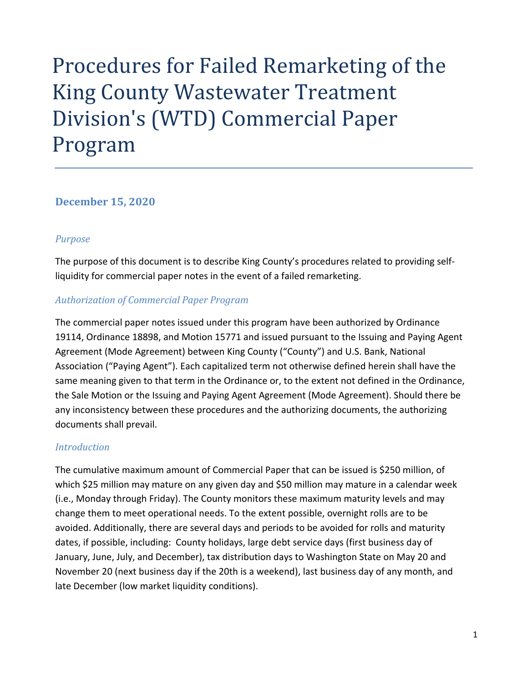# Procedures for Failed Remarketing of the King County Wastewater Treatment Division's (WTD) Commercial Paper Program

#### **December 15, 2020**

#### *Purpose*

The purpose of this document is to describe King County's procedures related to providing self‐ liquidity for commercial paper notes in the event of a failed remarketing.

#### *Authorization of Commercial Paper Program*

The commercial paper notes issued under this program have been authorized by Ordinance 19114, Ordinance 18898, and Motion 15771 and issued pursuant to the Issuing and Paying Agent Agreement (Mode Agreement) between King County ("County") and U.S. Bank, National Association ("Paying Agent"). Each capitalized term not otherwise defined herein shall have the same meaning given to that term in the Ordinance or, to the extent not defined in the Ordinance, the Sale Motion or the Issuing and Paying Agent Agreement (Mode Agreement). Should there be any inconsistency between these procedures and the authorizing documents, the authorizing documents shall prevail.

#### *Introduction*

The cumulative maximum amount of Commercial Paper that can be issued is \$250 million, of which \$25 million may mature on any given day and \$50 million may mature in a calendar week (i.e., Monday through Friday). The County monitors these maximum maturity levels and may change them to meet operational needs. To the extent possible, overnight rolls are to be avoided. Additionally, there are several days and periods to be avoided for rolls and maturity dates, if possible, including: County holidays, large debt service days (first business day of January, June, July, and December), tax distribution days to Washington State on May 20 and November 20 (next business day if the 20th is a weekend), last business day of any month, and late December (low market liquidity conditions).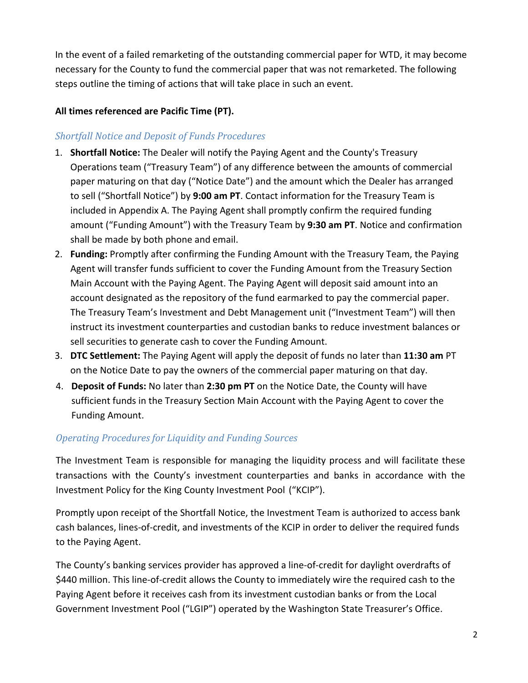In the event of a failed remarketing of the outstanding commercial paper for WTD, it may become necessary for the County to fund the commercial paper that was not remarketed. The following steps outline the timing of actions that will take place in such an event.

### **All times referenced are Pacific Time (PT).**

## *Shortfall Notice and Deposit of Funds Procedures*

- 1. **Shortfall Notice:** The Dealer will notify the Paying Agent and the County's Treasury Operations team ("Treasury Team") of any difference between the amounts of commercial paper maturing on that day ("Notice Date") and the amount which the Dealer has arranged to sell ("Shortfall Notice") by **9:00 am PT**. Contact information for the Treasury Team is included in Appendix A. The Paying Agent shall promptly confirm the required funding amount ("Funding Amount") with the Treasury Team by **9:30 am PT**. Notice and confirmation shall be made by both phone and email.
- 2. **Funding:** Promptly after confirming the Funding Amount with the Treasury Team, the Paying Agent will transfer funds sufficient to cover the Funding Amount from the Treasury Section Main Account with the Paying Agent. The Paying Agent will deposit said amount into an account designated as the repository of the fund earmarked to pay the commercial paper. The Treasury Team's Investment and Debt Management unit ("Investment Team") will then instruct its investment counterparties and custodian banks to reduce investment balances or sell securities to generate cash to cover the Funding Amount.
- 3. **DTC Settlement:** The Paying Agent will apply the deposit of funds no later than **11:30 am** PT on the Notice Date to pay the owners of the commercial paper maturing on that day.
- 4. **Deposit of Funds:** No later than **2:30 pm PT** on the Notice Date, the County will have sufficient funds in the Treasury Section Main Account with the Paying Agent to cover the Funding Amount.

## *Operating Procedures for Liquidity and Funding Sources*

The Investment Team is responsible for managing the liquidity process and will facilitate these transactions with the County's investment counterparties and banks in accordance with the Investment Policy for the King County Investment Pool ("KCIP").

Promptly upon receipt of the Shortfall Notice, the Investment Team is authorized to access bank cash balances, lines‐of‐credit, and investments of the KCIP in order to deliver the required funds to the Paying Agent.

The County's banking services provider has approved a line‐of‐credit for daylight overdrafts of \$440 million. This line-of-credit allows the County to immediately wire the required cash to the Paying Agent before it receives cash from its investment custodian banks or from the Local Government Investment Pool ("LGIP") operated by the Washington State Treasurer's Office.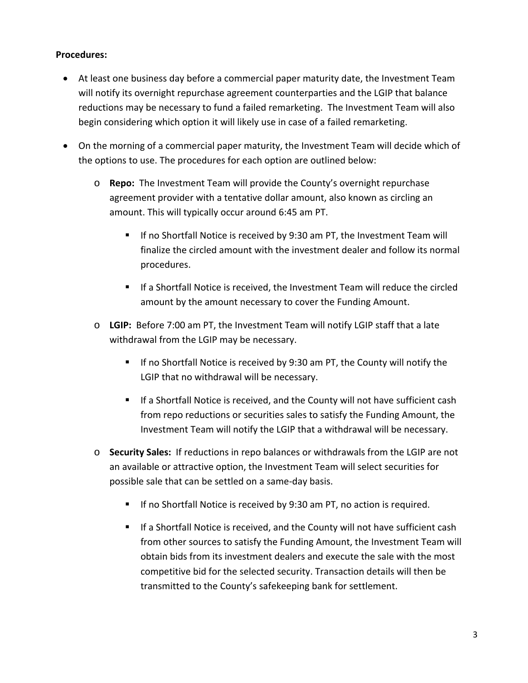#### **Procedures:**

- At least one business day before a commercial paper maturity date, the Investment Team will notify its overnight repurchase agreement counterparties and the LGIP that balance reductions may be necessary to fund a failed remarketing. The Investment Team will also begin considering which option it will likely use in case of a failed remarketing.
- On the morning of a commercial paper maturity, the Investment Team will decide which of the options to use. The procedures for each option are outlined below:
	- o **Repo:**  The Investment Team will provide the County's overnight repurchase agreement provider with a tentative dollar amount, also known as circling an amount. This will typically occur around 6:45 am PT.
		- If no Shortfall Notice is received by 9:30 am PT, the Investment Team will finalize the circled amount with the investment dealer and follow its normal procedures.
		- If a Shortfall Notice is received, the Investment Team will reduce the circled amount by the amount necessary to cover the Funding Amount.
	- o **LGIP:** Before 7:00 am PT, the Investment Team will notify LGIP staff that a late withdrawal from the LGIP may be necessary.
		- If no Shortfall Notice is received by 9:30 am PT, the County will notify the LGIP that no withdrawal will be necessary.
		- If a Shortfall Notice is received, and the County will not have sufficient cash from repo reductions or securities sales to satisfy the Funding Amount, the Investment Team will notify the LGIP that a withdrawal will be necessary.
	- o **Security Sales:** If reductions in repo balances or withdrawals from the LGIP are not an available or attractive option, the Investment Team will select securities for possible sale that can be settled on a same‐day basis.
		- **If no Shortfall Notice is received by 9:30 am PT, no action is required.**
		- **If a Shortfall Notice is received, and the County will not have sufficient cash** from other sources to satisfy the Funding Amount, the Investment Team will obtain bids from its investment dealers and execute the sale with the most competitive bid for the selected security. Transaction details will then be transmitted to the County's safekeeping bank for settlement.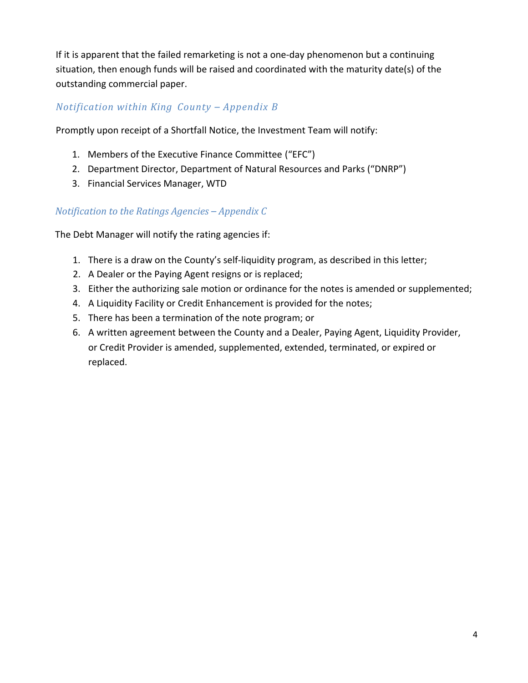If it is apparent that the failed remarketing is not a one‐day phenomenon but a continuing situation, then enough funds will be raised and coordinated with the maturity date(s) of the outstanding commercial paper.

## *Notification within King County – Appendix B*

Promptly upon receipt of a Shortfall Notice, the Investment Team will notify:

- 1. Members of the Executive Finance Committee ("EFC")
- 2. Department Director, Department of Natural Resources and Parks ("DNRP")
- 3. Financial Services Manager, WTD

## *Notification to the Ratings Agencies – Appendix C*

The Debt Manager will notify the rating agencies if:

- 1. There is a draw on the County's self‐liquidity program, as described in this letter;
- 2. A Dealer or the Paying Agent resigns or is replaced;
- 3. Either the authorizing sale motion or ordinance for the notes is amended or supplemented;
- 4. A Liquidity Facility or Credit Enhancement is provided for the notes;
- 5. There has been a termination of the note program; or
- 6. A written agreement between the County and a Dealer, Paying Agent, Liquidity Provider, or Credit Provider is amended, supplemented, extended, terminated, or expired or replaced.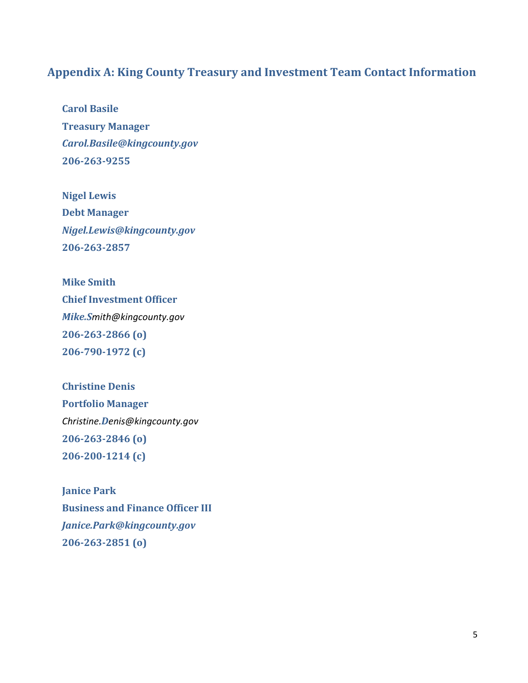## **Appendix A: King County Treasury and Investment Team Contact Information**

**Carol Basile Treasury Manager** *Carol.Basile@kingcounty.gov* **206‐263‐9255**

**Nigel Lewis Debt Manager** *Nigel.Lewis@kingcounty.gov* **206‐263‐2857**

**Mike Smith Chief Investment Officer** *Mike.Smith@kingcounty.gov* **206‐263‐2866 (o) 206‐790‐1972 (c)**

**Christine Denis Portfolio Manager** *Christine.Denis@kingcounty.gov* **206‐263‐2846 (o) 206‐200‐1214 (c)**

**Janice Park Business and Finance Officer III** *Janice.Park@kingcounty.gov* **206‐263‐2851 (o)**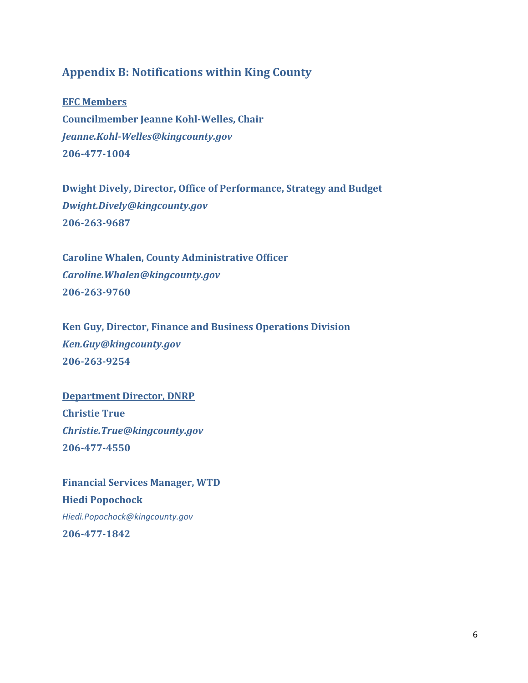## **Appendix B: Notifications within King County**

**EFC Members Councilmember Jeanne Kohl‐Welles, Chair** *Jeanne.Kohl‐Welles@kingcounty.gov* **206‐477‐1004**

**Dwight Dively, Director, Office of Performance, Strategy and Budget** *Dwight.Dively@kingcounty.gov* **206‐263‐9687**

**Caroline Whalen, County Administrative Officer** *Caroline.Whalen@kingcounty.gov* **206‐263‐9760**

**Ken Guy, Director, Finance and Business Operations Division** *Ken.Guy@kingcounty.gov* **206‐263‐9254**

**Department Director, DNRP Christie True** *Christie.True@kingcounty.gov* **206‐477‐4550**

**Financial Services Manager, WTD Hiedi Popochock** *Hiedi.Popochock@kingcounty.gov* **206‐477‐1842**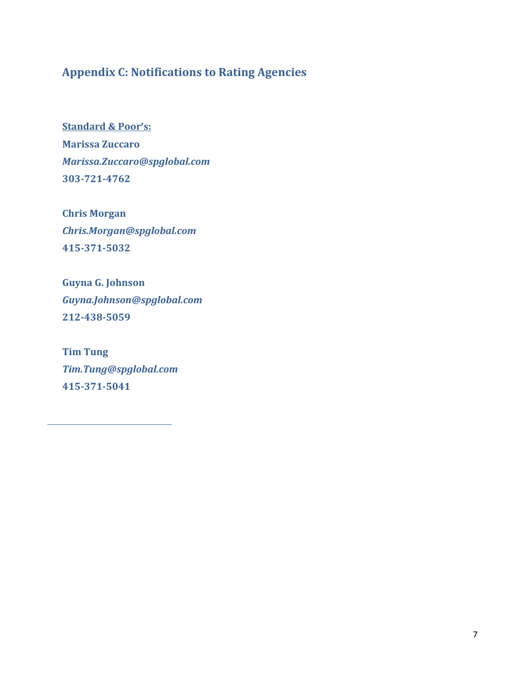# **Appendix C: Notifications to Rating Agencies**

**Standard & Poor's: Marissa Zuccaro** *Marissa.Zuccaro@spglobal.com* **303‐721‐4762**

**Chris Morgan** *Chris.Morgan@spglobal.com* **415‐371‐5032**

**Guyna G. Johnson** *Guyna.Johnson@spglobal.com* **212‐438‐5059**

**Tim Tung** *Tim.Tung@spglobal.com* **415‐371‐5041**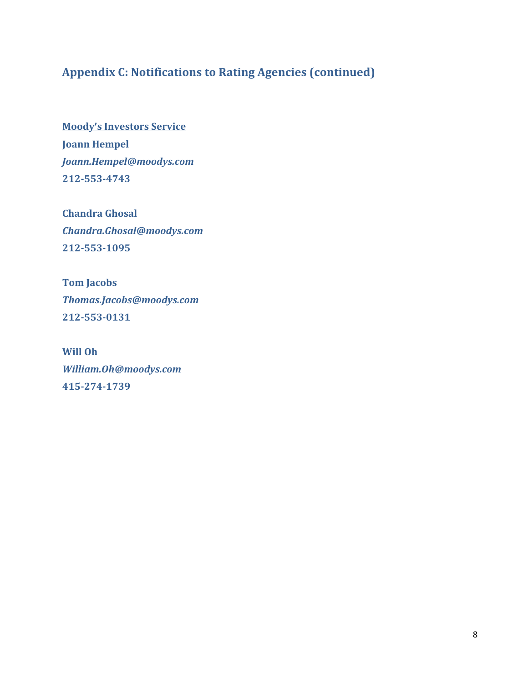# **Appendix C: Notifications to Rating Agencies (continued)**

**Moody's Investors Service Joann Hempel** *Joann.Hempel@moodys.com* **212‐553‐4743**

**Chandra Ghosal** *Chandra.Ghosal@moodys.com* **212‐553‐1095**

**Tom Jacobs** *Thomas.Jacobs@moodys.com* **212‐553‐0131**

**Will Oh** *William.Oh@moodys.com* **415‐274‐1739**